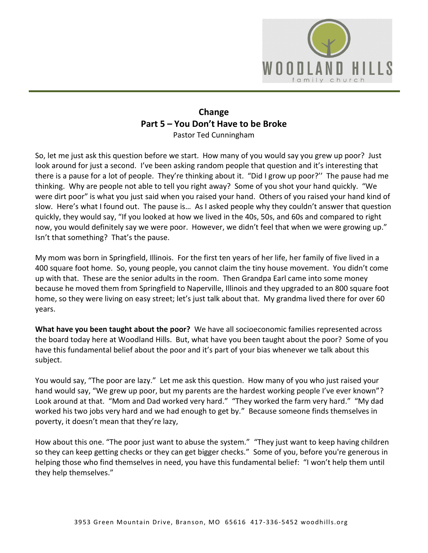

## **Change Part 5 – You Don't Have to be Broke** Pastor Ted Cunningham

So, let me just ask this question before we start. How many of you would say you grew up poor? Just look around for just a second. I've been asking random people that question and it's interesting that there is a pause for a lot of people. They're thinking about it. "Did I grow up poor?'' The pause had me thinking. Why are people not able to tell you right away? Some of you shot your hand quickly. "We were dirt poor" is what you just said when you raised your hand. Others of you raised your hand kind of slow. Here's what I found out. The pause is… As I asked people why they couldn't answer that question quickly, they would say, "If you looked at how we lived in the 40s, 50s, and 60s and compared to right now, you would definitely say we were poor. However, we didn't feel that when we were growing up." Isn't that something? That's the pause.

My mom was born in Springfield, Illinois. For the first ten years of her life, her family of five lived in a 400 square foot home. So, young people, you cannot claim the tiny house movement. You didn't come up with that. These are the senior adults in the room. Then Grandpa Earl came into some money because he moved them from Springfield to Naperville, Illinois and they upgraded to an 800 square foot home, so they were living on easy street; let's just talk about that. My grandma lived there for over 60 years.

**What have you been taught about the poor?** We have all socioeconomic families represented across the board today here at Woodland Hills. But, what have you been taught about the poor? Some of you have this fundamental belief about the poor and it's part of your bias whenever we talk about this subject.

You would say, "The poor are lazy." Let me ask this question. How many of you who just raised your hand would say, "We grew up poor, but my parents are the hardest working people I've ever known"? Look around at that. "Mom and Dad worked very hard." "They worked the farm very hard." "My dad worked his two jobs very hard and we had enough to get by." Because someone finds themselves in poverty, it doesn't mean that they're lazy,

How about this one. "The poor just want to abuse the system." "They just want to keep having children so they can keep getting checks or they can get bigger checks." Some of you, before you're generous in helping those who find themselves in need, you have this fundamental belief: "I won't help them until they help themselves."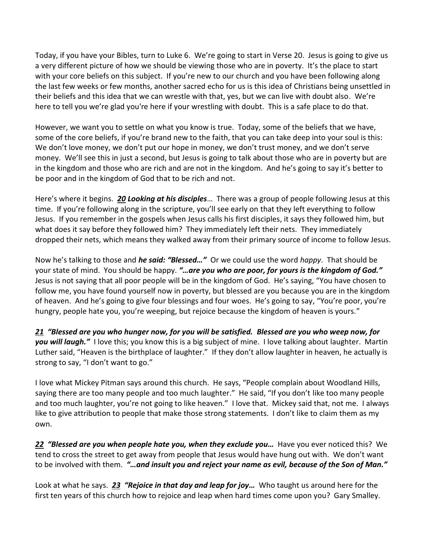Today, if you have your Bibles, turn to Luke 6. We're going to start in Verse 20. Jesus is going to give us a very different picture of how we should be viewing those who are in poverty. It's the place to start with your core beliefs on this subject. If you're new to our church and you have been following along the last few weeks or few months, another sacred echo for us is this idea of Christians being unsettled in their beliefs and this idea that we can wrestle with that, yes, but we can live with doubt also. We're here to tell you we're glad you're here if your wrestling with doubt. This is a safe place to do that.

However, we want you to settle on what you know is true. Today, some of the beliefs that we have, some of the core beliefs, if you're brand new to the faith, that you can take deep into your soul is this: We don't love money, we don't put our hope in money, we don't trust money, and we don't serve money. We'll see this in just a second, but Jesus is going to talk about those who are in poverty but are in the kingdom and those who are rich and are not in the kingdom. And he's going to say it's better to be poor and in the kingdom of God that to be rich and not.

Here's where it begins. *[20](https://www.studylight.org/desk/?q=lu%206:20&t1=en_niv&sr=1) Looking at his disciples*… There was a group of people following Jesus at this time. If you're following along in the scripture, you'll see early on that they left everything to follow Jesus. If you remember in the gospels when Jesus calls his first disciples, it says they followed him, but what does it say before they followed him? They immediately left their nets. They immediately dropped their nets, which means they walked away from their primary source of income to follow Jesus.

Now he's talking to those and *he said: "Blessed…"* Or we could use the word *happy*. That should be your state of mind. You should be happy. *"…are you who are poor, for yours is the kingdom of God."* Jesus is not saying that all poor people will be in the kingdom of God. He's saying, "You have chosen to follow me, you have found yourself now in poverty, but blessed are you because you are in the kingdom of heaven. And he's going to give four blessings and four woes. He's going to say, "You're poor, you're hungry, people hate you, you're weeping, but rejoice because the kingdom of heaven is yours."

*[21](https://www.studylight.org/desk/?q=lu%206:21&t1=en_niv&sr=1) "Blessed are you who hunger now, for you will be satisfied. Blessed are you who weep now, for you will laugh."* I love this; you know this is a big subject of mine. I love talking about laughter. Martin Luther said, "Heaven is the birthplace of laughter." If they don't allow laughter in heaven, he actually is strong to say, "I don't want to go."

I love what Mickey Pitman says around this church. He says, "People complain about Woodland Hills, saying there are too many people and too much laughter." He said, "If you don't like too many people and too much laughter, you're not going to like heaven." I love that. Mickey said that, not me. I always like to give attribution to people that make those strong statements. I don't like to claim them as my own.

*[22](https://www.studylight.org/desk/?q=lu%206:22&t1=en_niv&sr=1) "Blessed are you when people hate you, when they exclude you…*Have you ever noticed this? We tend to cross the street to get away from people that Jesus would have hung out with. We don't want to be involved with them. *"…and insult you and reject your name as evil, because of the Son of Man."* 

Look at what he says. *[23](https://www.studylight.org/desk/?q=lu%206:23&t1=en_niv&sr=1) "Rejoice in that day and leap for joy…* Who taught us around here for the first ten years of this church how to rejoice and leap when hard times come upon you? Gary Smalley.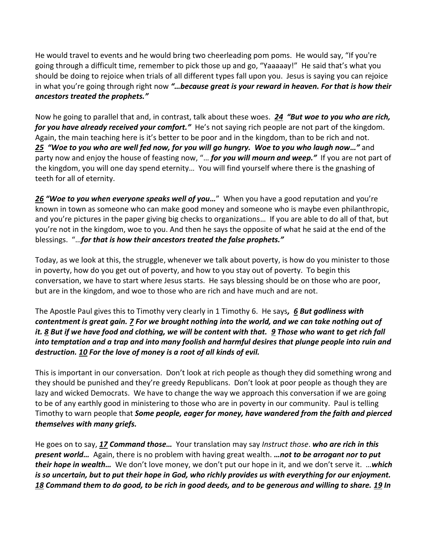He would travel to events and he would bring two cheerleading pom poms. He would say, "If you're going through a difficult time, remember to pick those up and go, "Yaaaaay!" He said that's what you should be doing to rejoice when trials of all different types fall upon you. Jesus is saying you can rejoice in what you're going through right now *"…because great is your reward in heaven. For that is how their ancestors treated the prophets."*

Now he going to parallel that and, in contrast, talk about these woes. *[24](https://www.studylight.org/desk/?q=lu%206:24&t1=en_niv&sr=1) "But woe to you who are rich, for you have already received your comfort."* He's not saying rich people are not part of the kingdom. Again, the main teaching here is it's better to be poor and in the kingdom, than to be rich and not. *[25](https://www.studylight.org/desk/?q=lu%206:25&t1=en_niv&sr=1) "Woe to you who are well fed now, for you will go hungry. Woe to you who laugh now…"* and party now and enjoy the house of feasting now, "… *for you will mourn and weep."* If you are not part of the kingdom, you will one day spend eternity… You will find yourself where there is the gnashing of teeth for all of eternity.

*[26](https://www.studylight.org/desk/?q=lu%206:26&t1=en_niv&sr=1) "Woe to you when everyone speaks well of you…*" When you have a good reputation and you're known in town as someone who can make good money and someone who is maybe even philanthropic, and you're pictures in the paper giving big checks to organizations… If you are able to do all of that, but you're not in the kingdom, woe to you. And then he says the opposite of what he said at the end of the blessings. "…*for that is how their ancestors treated the false prophets."*

Today, as we look at this, the struggle, whenever we talk about poverty, is how do you minister to those in poverty, how do you get out of poverty, and how to you stay out of poverty. To begin this conversation, we have to start where Jesus starts. He says blessing should be on those who are poor, but are in the kingdom, and woe to those who are rich and have much and are not.

The Apostle Paul gives this to Timothy very clearly in 1 Timothy 6. He says*, [6](https://www.studylight.org/desk/?q=1ti%206:6&t1=en_niv&sr=1) But godliness with contentment is great gain. [7](https://www.studylight.org/desk/?q=1ti%206:7&t1=en_niv&sr=1) For we brought nothing into the world, and we can take nothing out of it. [8](https://www.studylight.org/desk/?q=1ti%206:8&t1=en_niv&sr=1) But if we have food and clothing, we will be content with that. [9](https://www.studylight.org/desk/?q=1ti%206:9&t1=en_niv&sr=1) Those who want to get rich fall into temptation and a trap and into many foolish and harmful desires that plunge people into ruin and destruction[. 10](https://www.studylight.org/desk/?q=1ti%206:10&t1=en_niv&sr=1) For the love of money is a root of all kinds of evil.* 

This is important in our conversation. Don't look at rich people as though they did something wrong and they should be punished and they're greedy Republicans. Don't look at poor people as though they are lazy and wicked Democrats. We have to change the way we approach this conversation if we are going to be of any earthly good in ministering to those who are in poverty in our community. Paul is telling Timothy to warn people that *Some people, eager for money, have wandered from the faith and pierced themselves with many griefs.* 

He goes on to say, *[17](https://www.studylight.org/desk/?q=1ti%206:17&t1=en_niv&sr=1) Command those…* Your translation may say *Instruct those*. *who are rich in this present world…* Again, there is no problem with having great wealth. *…not to be arrogant nor to put their hope in wealth…* We don't love money, we don't put our hope in it, and we don't serve it. …*which is so uncertain, but to put their hope in God, who richly provides us with everything for our enjoyment. [18](https://www.studylight.org/desk/?q=1ti%206:18&t1=en_niv&sr=1) Command them to do good, to be rich in good deeds, and to be generous and willing to share. [19](https://www.studylight.org/desk/?q=1ti%206:19&t1=en_niv&sr=1) In*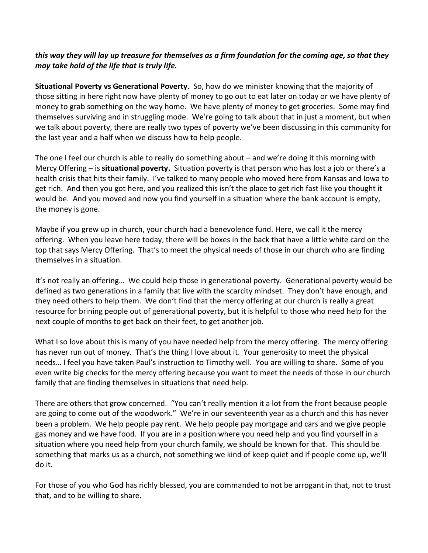## *this way they will lay up treasure for themselves as a firm foundation for the coming age, so that they may take hold of the life that is truly life.*

**Situational Poverty vs Generational Poverty**. So, how do we minister knowing that the majority of those sitting in here right now have plenty of money to go out to eat later on today or we have plenty of money to grab something on the way home. We have plenty of money to get groceries. Some may find themselves surviving and in struggling mode. We're going to talk about that in just a moment, but when we talk about poverty, there are really two types of poverty we've been discussing in this community for the last year and a half when we discuss how to help people.

The one I feel our church is able to really do something about – and we're doing it this morning with Mercy Offering – is **situational poverty.** Situation poverty is that person who has lost a job or there's a health crisis that hits their family. I've talked to many people who moved here from Kansas and Iowa to get rich. And then you got here, and you realized this isn't the place to get rich fast like you thought it would be. And you moved and now you find yourself in a situation where the bank account is empty, the money is gone.

Maybe if you grew up in church, your church had a benevolence fund. Here, we call it the mercy offering. When you leave here today, there will be boxes in the back that have a little white card on the top that says Mercy Offering. That's to meet the physical needs of those in our church who are finding themselves in a situation.

It's not really an offering… We could help those in generational poverty. Generational poverty would be defined as two generations in a family that live with the scarcity mindset. They don't have enough, and they need others to help them. We don't find that the mercy offering at our church is really a great resource for brining people out of generational poverty, but it is helpful to those who need help for the next couple of months to get back on their feet, to get another job.

What I so love about this is many of you have needed help from the mercy offering. The mercy offering has never run out of money. That's the thing I love about it. Your generosity to meet the physical needs… I feel you have taken Paul's instruction to Timothy well. You are willing to share. Some of you even write big checks for the mercy offering because you want to meet the needs of those in our church family that are finding themselves in situations that need help.

There are others that grow concerned. "You can't really mention it a lot from the front because people are going to come out of the woodwork." We're in our seventeenth year as a church and this has never been a problem. We help people pay rent. We help people pay mortgage and cars and we give people gas money and we have food. If you are in a position where you need help and you find yourself in a situation where you need help from your church family, we should be known for that. This should be something that marks us as a church, not something we kind of keep quiet and if people come up, we'll do it.

For those of you who God has richly blessed, you are commanded to not be arrogant in that, not to trust that, and to be willing to share.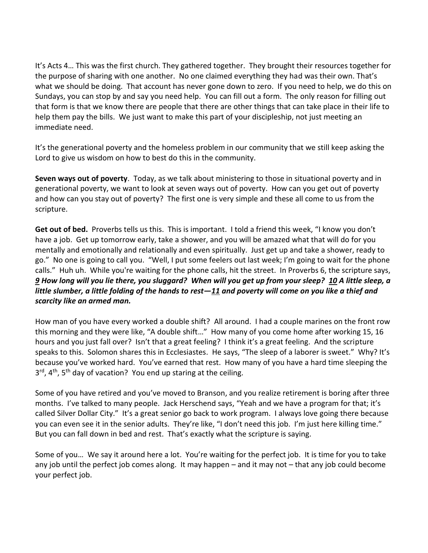It's Acts 4… This was the first church. They gathered together. They brought their resources together for the purpose of sharing with one another. No one claimed everything they had was their own. That's what we should be doing. That account has never gone down to zero. If you need to help, we do this on Sundays, you can stop by and say you need help. You can fill out a form. The only reason for filling out that form is that we know there are people that there are other things that can take place in their life to help them pay the bills. We just want to make this part of your discipleship, not just meeting an immediate need.

It's the generational poverty and the homeless problem in our community that we still keep asking the Lord to give us wisdom on how to best do this in the community.

**Seven ways out of poverty**. Today, as we talk about ministering to those in situational poverty and in generational poverty, we want to look at seven ways out of poverty. How can you get out of poverty and how can you stay out of poverty? The first one is very simple and these all come to us from the scripture.

**Get out of bed.** Proverbs tells us this. This is important. I told a friend this week, "I know you don't have a job. Get up tomorrow early, take a shower, and you will be amazed what that will do for you mentally and emotionally and relationally and even spiritually. Just get up and take a shower, ready to go." No one is going to call you. "Well, I put some feelers out last week; I'm going to wait for the phone calls." Huh uh. While you're waiting for the phone calls, hit the street. In Proverbs 6, the scripture says, *[9](https://www.studylight.org/desk/?q=pr%206:9&t1=en_niv&sr=1) How long will you lie there, you sluggard? When will you get up from your sleep? [10](https://www.studylight.org/desk/?q=pr%206:10&t1=en_niv&sr=1) A little sleep, a little slumber, a little folding of the hands to rest—[11](https://www.studylight.org/desk/?q=pr%206:11&t1=en_niv&sr=1) and poverty will come on you like a thief and scarcity like an armed man.*

How man of you have every worked a double shift? All around. I had a couple marines on the front row this morning and they were like, "A double shift…" How many of you come home after working 15, 16 hours and you just fall over? Isn't that a great feeling? I think it's a great feeling. And the scripture speaks to this. Solomon shares this in Ecclesiastes. He says, "The sleep of a laborer is sweet." Why? It's because you've worked hard. You've earned that rest. How many of you have a hard time sleeping the 3<sup>rd</sup>, 4<sup>th</sup>, 5<sup>th</sup> day of vacation? You end up staring at the ceiling.

Some of you have retired and you've moved to Branson, and you realize retirement is boring after three months. I've talked to many people. Jack Herschend says, "Yeah and we have a program for that; it's called Silver Dollar City." It's a great senior go back to work program. I always love going there because you can even see it in the senior adults. They're like, "I don't need this job. I'm just here killing time." But you can fall down in bed and rest. That's exactly what the scripture is saying.

Some of you… We say it around here a lot. You're waiting for the perfect job. It is time for you to take any job until the perfect job comes along. It may happen – and it may not – that any job could become your perfect job.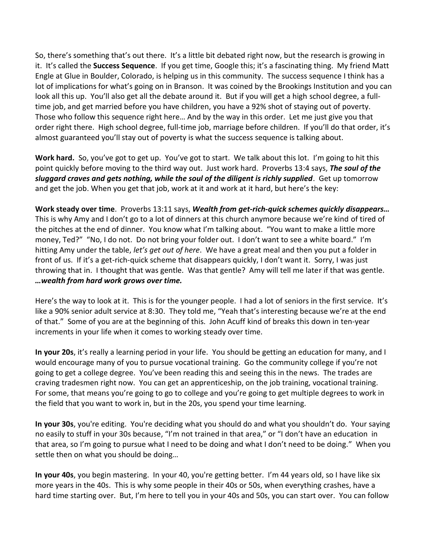So, there's something that's out there. It's a little bit debated right now, but the research is growing in it. It's called the **Success Sequence**. If you get time, Google this; it's a fascinating thing. My friend Matt Engle at Glue in Boulder, Colorado, is helping us in this community. The success sequence I think has a lot of implications for what's going on in Branson. It was coined by the Brookings Institution and you can look all this up. You'll also get all the debate around it. But if you will get a high school degree, a fulltime job, and get married before you have children, you have a 92% shot of staying out of poverty. Those who follow this sequence right here… And by the way in this order. Let me just give you that order right there. High school degree, full-time job, marriage before children. If you'll do that order, it's almost guaranteed you'll stay out of poverty is what the success sequence is talking about.

**Work hard.** So, you've got to get up. You've got to start. We talk about this lot. I'm going to hit this point quickly before moving to the third way out. Just work hard. Proverbs 13:4 says, *The soul of the sluggard craves and gets nothing, while the soul of the diligent is richly supplied*.Get up tomorrow and get the job. When you get that job, work at it and work at it hard, but here's the key:

**Work steady over time**. Proverbs 13:11 says, *Wealth from get-rich-quick schemes quickly disappears…* This is why Amy and I don't go to a lot of dinners at this church anymore because we're kind of tired of the pitches at the end of dinner. You know what I'm talking about. "You want to make a little more money, Ted?" "No, I do not. Do not bring your folder out. I don't want to see a white board." I'm hitting Amy under the table, *let's get out of here*. We have a great meal and then you put a folder in front of us. If it's a get-rich-quick scheme that disappears quickly, I don't want it. Sorry, I was just throwing that in. I thought that was gentle. Was that gentle? Amy will tell me later if that was gentle. *…wealth from hard work grows over time.*

Here's the way to look at it. This is for the younger people. I had a lot of seniors in the first service. It's like a 90% senior adult service at 8:30. They told me, "Yeah that's interesting because we're at the end of that." Some of you are at the beginning of this. John Acuff kind of breaks this down in ten-year increments in your life when it comes to working steady over time.

**In your 20s**, it's really a learning period in your life. You should be getting an education for many, and I would encourage many of you to pursue vocational training. Go the community college if you're not going to get a college degree. You've been reading this and seeing this in the news. The trades are craving tradesmen right now. You can get an apprenticeship, on the job training, vocational training. For some, that means you're going to go to college and you're going to get multiple degrees to work in the field that you want to work in, but in the 20s, you spend your time learning.

**In your 30s**, you're editing. You're deciding what you should do and what you shouldn't do. Your saying no easily to stuff in your 30s because, "I'm not trained in that area," or "I don't have an education in that area, so I'm going to pursue what I need to be doing and what I don't need to be doing." When you settle then on what you should be doing…

**In your 40s**, you begin mastering. In your 40, you're getting better. I'm 44 years old, so I have like six more years in the 40s. This is why some people in their 40s or 50s, when everything crashes, have a hard time starting over. But, I'm here to tell you in your 40s and 50s, you can start over. You can follow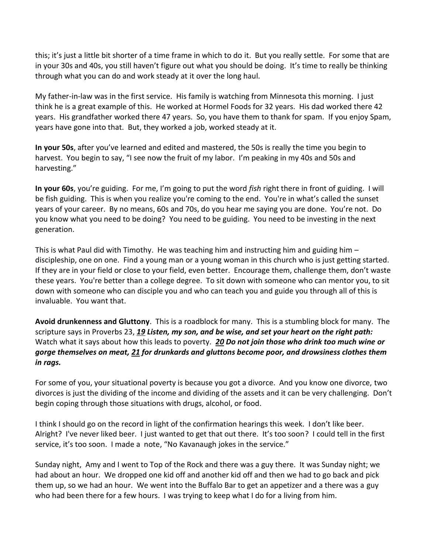this; it's just a little bit shorter of a time frame in which to do it. But you really settle. For some that are in your 30s and 40s, you still haven't figure out what you should be doing. It's time to really be thinking through what you can do and work steady at it over the long haul.

My father-in-law was in the first service. His family is watching from Minnesota this morning. I just think he is a great example of this. He worked at Hormel Foods for 32 years. His dad worked there 42 years. His grandfather worked there 47 years. So, you have them to thank for spam. If you enjoy Spam, years have gone into that. But, they worked a job, worked steady at it.

**In your 50s**, after you've learned and edited and mastered, the 50s is really the time you begin to harvest. You begin to say, "I see now the fruit of my labor. I'm peaking in my 40s and 50s and harvesting."

**In your 60s**, you're guiding. For me, I'm going to put the word *fish* right there in front of guiding. I will be fish guiding. This is when you realize you're coming to the end. You're in what's called the sunset years of your career. By no means, 60s and 70s, do you hear me saying you are done. You're not. Do you know what you need to be doing? You need to be guiding. You need to be investing in the next generation.

This is what Paul did with Timothy. He was teaching him and instructing him and guiding him – discipleship, one on one. Find a young man or a young woman in this church who is just getting started. If they are in your field or close to your field, even better. Encourage them, challenge them, don't waste these years. You're better than a college degree. To sit down with someone who can mentor you, to sit down with someone who can disciple you and who can teach you and guide you through all of this is invaluable. You want that.

**Avoid drunkenness and Gluttony**. This is a roadblock for many. This is a stumbling block for many. The scripture says in Proverbs 23, *[19](https://www.studylight.org/desk/?q=pr%2023:19&t1=en_niv&sr=1) Listen, my son, and be wise, and set your heart on the right path:*  Watch what it says about how this leads to poverty. *[20](https://www.studylight.org/desk/?q=pr%2023:20&t1=en_niv&sr=1) Do not join those who drink too much wine or gorge themselves on meat, [21](https://www.studylight.org/desk/?q=pr%2023:21&t1=en_niv&sr=1) for drunkards and gluttons become poor, and drowsiness clothes them in rags.*

For some of you, your situational poverty is because you got a divorce. And you know one divorce, two divorces is just the dividing of the income and dividing of the assets and it can be very challenging. Don't begin coping through those situations with drugs, alcohol, or food.

I think I should go on the record in light of the confirmation hearings this week. I don't like beer. Alright? I've never liked beer. I just wanted to get that out there. It's too soon? I could tell in the first service, it's too soon. I made a note, "No Kavanaugh jokes in the service."

Sunday night, Amy and I went to Top of the Rock and there was a guy there. It was Sunday night; we had about an hour. We dropped one kid off and another kid off and then we had to go back and pick them up, so we had an hour. We went into the Buffalo Bar to get an appetizer and a there was a guy who had been there for a few hours. I was trying to keep what I do for a living from him.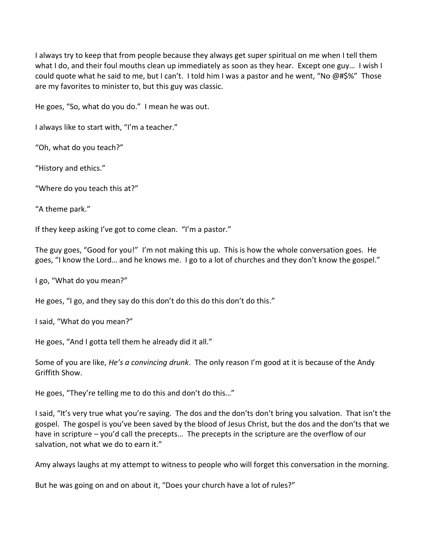I always try to keep that from people because they always get super spiritual on me when I tell them what I do, and their foul mouths clean up immediately as soon as they hear. Except one guy… I wish I could quote what he said to me, but I can't. I told him I was a pastor and he went, "No @#\$%" Those are my favorites to minister to, but this guy was classic.

He goes, "So, what do you do." I mean he was out.

I always like to start with, "I'm a teacher."

"Oh, what do you teach?"

"History and ethics."

"Where do you teach this at?"

"A theme park."

If they keep asking I've got to come clean. "I'm a pastor."

The guy goes, "Good for you!" I'm not making this up. This is how the whole conversation goes. He goes, "I know the Lord… and he knows me. I go to a lot of churches and they don't know the gospel."

I go, "What do you mean?"

He goes, "I go, and they say do this don't do this do this don't do this."

I said, "What do you mean?"

He goes, "And I gotta tell them he already did it all."

Some of you are like, *He's a convincing drunk*. The only reason I'm good at it is because of the Andy Griffith Show.

He goes, "They're telling me to do this and don't do this…"

I said, "It's very true what you're saying. The dos and the don'ts don't bring you salvation. That isn't the gospel. The gospel is you've been saved by the blood of Jesus Christ, but the dos and the don'ts that we have in scripture – you'd call the precepts... The precepts in the scripture are the overflow of our salvation, not what we do to earn it."

Amy always laughs at my attempt to witness to people who will forget this conversation in the morning.

But he was going on and on about it, "Does your church have a lot of rules?"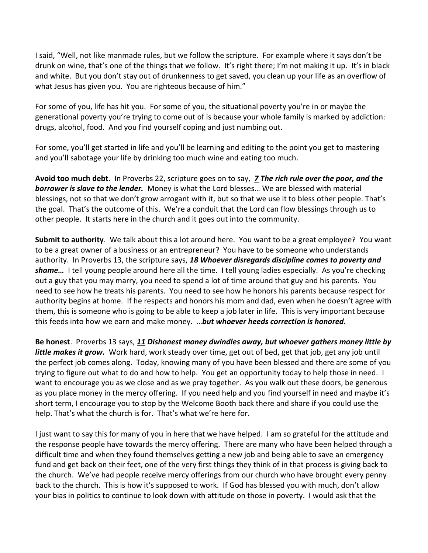I said, "Well, not like manmade rules, but we follow the scripture. For example where it says don't be drunk on wine, that's one of the things that we follow. It's right there; I'm not making it up. It's in black and white. But you don't stay out of drunkenness to get saved, you clean up your life as an overflow of what Jesus has given you. You are righteous because of him."

For some of you, life has hit you. For some of you, the situational poverty you're in or maybe the generational poverty you're trying to come out of is because your whole family is marked by addiction: drugs, alcohol, food. And you find yourself coping and just numbing out.

For some, you'll get started in life and you'll be learning and editing to the point you get to mastering and you'll sabotage your life by drinking too much wine and eating too much.

**Avoid too much debt**. In Proverbs 22, scripture goes on to say, *[7](https://www.studylight.org/desk/?q=pr%2022:7&t1=en_niv&sr=1) The rich rule over the poor, and the borrower is slave to the lender.* Money is what the Lord blesses… We are blessed with material blessings, not so that we don't grow arrogant with it, but so that we use it to bless other people. That's the goal. That's the outcome of this. We're a conduit that the Lord can flow blessings through us to other people. It starts here in the church and it goes out into the community.

**Submit to authority**. We talk about this a lot around here. You want to be a great employee? You want to be a great owner of a business or an entrepreneur? You have to be someone who understands authority. In Proverbs 13, the scripture says, *[18](https://www.studylight.org/desk/?q=pr%2013:18&t1=en_niv&sr=1) Whoever disregards discipline comes to poverty and shame…* I tell young people around here all the time. I tell young ladies especially. As you're checking out a guy that you may marry, you need to spend a lot of time around that guy and his parents. You need to see how he treats his parents. You need to see how he honors his parents because respect for authority begins at home. If he respects and honors his mom and dad, even when he doesn't agree with them, this is someone who is going to be able to keep a job later in life. This is very important because this feeds into how we earn and make money. …*but whoever heeds correction is honored.* 

**Be honest**. Proverbs 13 says, *[11](https://www.studylight.org/desk/?q=pr%2013:11&t1=en_niv&sr=1) Dishonest money dwindles away, but whoever gathers money little by little makes it grow.* Work hard, work steady over time, get out of bed, get that job, get any job until the perfect job comes along. Today, knowing many of you have been blessed and there are some of you trying to figure out what to do and how to help. You get an opportunity today to help those in need. I want to encourage you as we close and as we pray together. As you walk out these doors, be generous as you place money in the mercy offering. If you need help and you find yourself in need and maybe it's short term, I encourage you to stop by the Welcome Booth back there and share if you could use the help. That's what the church is for. That's what we're here for.

I just want to say this for many of you in here that we have helped. I am so grateful for the attitude and the response people have towards the mercy offering. There are many who have been helped through a difficult time and when they found themselves getting a new job and being able to save an emergency fund and get back on their feet, one of the very first things they think of in that process is giving back to the church. We've had people receive mercy offerings from our church who have brought every penny back to the church. This is how it's supposed to work. If God has blessed you with much, don't allow your bias in politics to continue to look down with attitude on those in poverty. I would ask that the